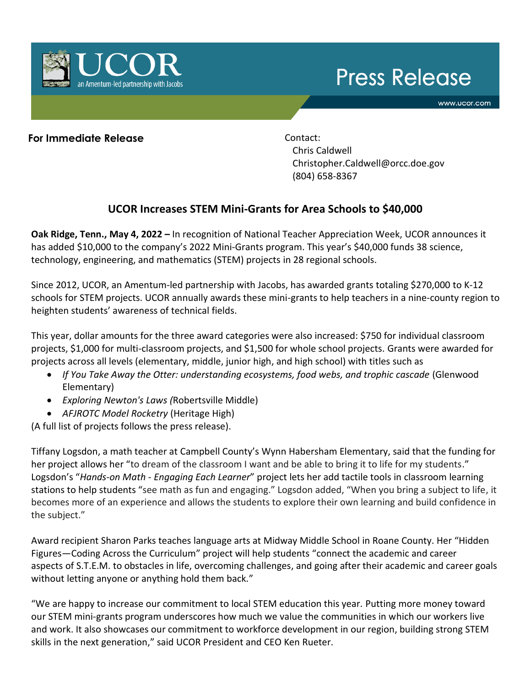# **Press Release**

www.ucor.com



### **For Immediate Release** Contact:

Chris Caldwell Christopher.Caldwell@orcc.doe.gov (804) 658-8367

# **UCOR Increases STEM Mini-Grants for Area Schools to \$40,000**

**Oak Ridge, Tenn., May 4, 2022 –** In recognition of National Teacher Appreciation Week, UCOR announces it has added \$10,000 to the company's 2022 Mini-Grants program. This year's \$40,000 funds 38 science, technology, engineering, and mathematics (STEM) projects in 28 regional schools.

Since 2012, UCOR, an Amentum-led partnership with Jacobs, has awarded grants totaling \$270,000 to K-12 schools for STEM projects. UCOR annually awards these mini-grants to help teachers in a nine-county region to heighten students' awareness of technical fields.

This year, dollar amounts for the three award categories were also increased: \$750 for individual classroom projects, \$1,000 for multi-classroom projects, and \$1,500 for whole school projects. Grants were awarded for projects across all levels (elementary, middle, junior high, and high school) with titles such as

- *If You Take Away the Otter: understanding ecosystems, food webs, and trophic cascade* (Glenwood Elementary)
- *Exploring Newton's Laws (*Robertsville Middle)
- *AFJROTC Model Rocketry* (Heritage High)

(A full list of projects follows the press release).

Tiffany Logsdon, a math teacher at Campbell County's Wynn Habersham Elementary, said that the funding for her project allows her "to dream of the classroom I want and be able to bring it to life for my students." Logsdon's "*Hands-on Math - Engaging Each Learner*" project lets her add tactile tools in classroom learning stations to help students "see math as fun and engaging." Logsdon added, "When you bring a subject to life, it becomes more of an experience and allows the students to explore their own learning and build confidence in the subject."

Award recipient Sharon Parks teaches language arts at Midway Middle School in Roane County. Her "Hidden Figures—Coding Across the Curriculum" project will help students "connect the academic and career aspects of S.T.E.M. to obstacles in life, overcoming challenges, and going after their academic and career goals without letting anyone or anything hold them back."

"We are happy to increase our commitment to local STEM education this year. Putting more money toward our STEM mini-grants program underscores how much we value the communities in which our workers live and work. It also showcases our commitment to workforce development in our region, building strong STEM skills in the next generation," said UCOR President and CEO Ken Rueter.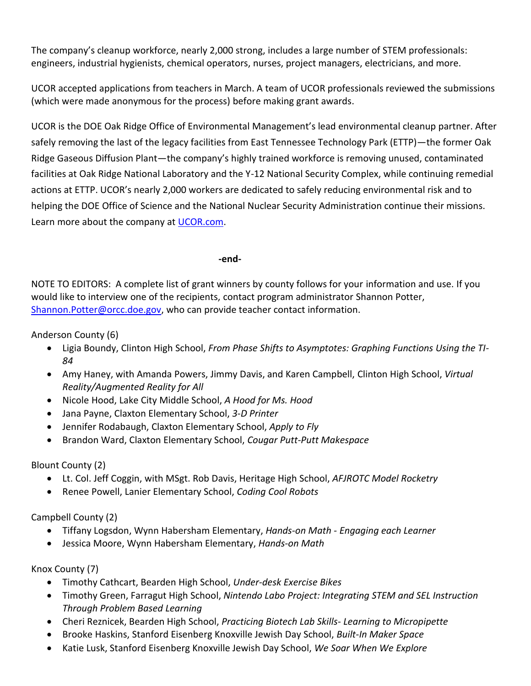The company's cleanup workforce, nearly 2,000 strong, includes a large number of STEM professionals: engineers, industrial hygienists, chemical operators, nurses, project managers, electricians, and more.

UCOR accepted applications from teachers in March. A team of UCOR professionals reviewed the submissions (which were made anonymous for the process) before making grant awards.

UCOR is the DOE Oak Ridge Office of Environmental Management's lead environmental cleanup partner. After safely removing the last of the legacy facilities from East Tennessee Technology Park (ETTP)—the former Oak Ridge Gaseous Diffusion Plant—the company's highly trained workforce is removing unused, contaminated facilities at Oak Ridge National Laboratory and the Y-12 National Security Complex, while continuing remedial actions at ETTP. UCOR's nearly 2,000 workers are dedicated to safely reducing environmental risk and to helping the DOE Office of Science and the National Nuclear Security Administration continue their missions. Learn more about the company at [UCOR.com.](https://ucor.com/)

#### **-end-**

NOTE TO EDITORS: A complete list of grant winners by county follows for your information and use. If you would like to interview one of the recipients, contact program administrator Shannon Potter, [Shannon.Potter@orcc.doe.gov,](mailto:Shannon.Potter@orcc.doe.gov) who can provide teacher contact information.

Anderson County (6)

- Ligia Boundy, Clinton High School, *From Phase Shifts to Asymptotes: Graphing Functions Using the TI-84*
- Amy Haney, with Amanda Powers, Jimmy Davis, and Karen Campbell, Clinton High School, *Virtual Reality/Augmented Reality for All*
- Nicole Hood, Lake City Middle School, *A Hood for Ms. Hood*
- Jana Payne, Claxton Elementary School, *3-D Printer*
- Jennifer Rodabaugh, Claxton Elementary School, *Apply to Fly*
- Brandon Ward, Claxton Elementary School, *Cougar Putt-Putt Makespace*

## Blount County (2)

- Lt. Col. Jeff Coggin, with MSgt. Rob Davis, Heritage High School, *AFJROTC Model Rocketry*
- Renee Powell, Lanier Elementary School, *Coding Cool Robots*

# Campbell County (2)

- Tiffany Logsdon, Wynn Habersham Elementary, *Hands-on Math - Engaging each Learner*
- Jessica Moore, Wynn Habersham Elementary, *Hands-on Math*

## Knox County (7)

- Timothy Cathcart, Bearden High School, *Under-desk Exercise Bikes*
- Timothy Green, Farragut High School, *Nintendo Labo Project: Integrating STEM and SEL Instruction Through Problem Based Learning*
- Cheri Reznicek, Bearden High School, *Practicing Biotech Lab Skills- Learning to Micropipette*
- Brooke Haskins, Stanford Eisenberg Knoxville Jewish Day School, *Built-In Maker Space*
- Katie Lusk, Stanford Eisenberg Knoxville Jewish Day School, *We Soar When We Explore*